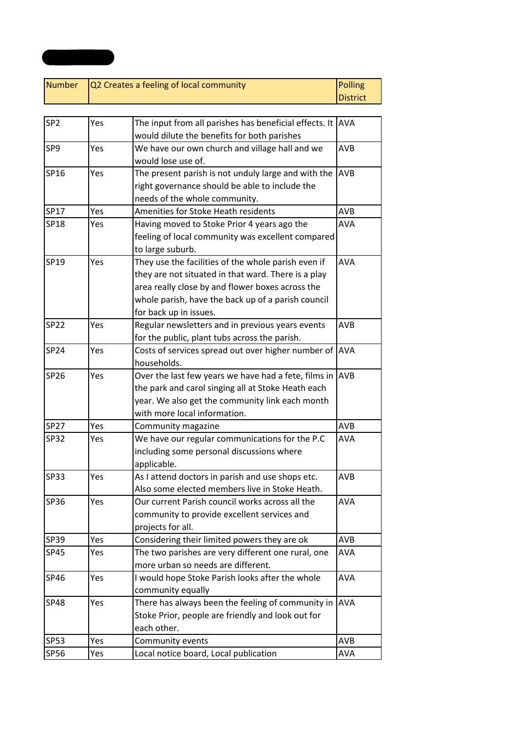| Number $\sqrt{Q^2}$ Creates a feeling of local community<br>Polling |          |
|---------------------------------------------------------------------|----------|
|                                                                     | District |

**Appendix 1**

| SP <sub>2</sub> | Yes | The input from all parishes has beneficial effects. It  AVA |            |
|-----------------|-----|-------------------------------------------------------------|------------|
|                 |     | would dilute the benefits for both parishes                 |            |
| SP9             | Yes | We have our own church and village hall and we              | <b>AVB</b> |
|                 |     | would lose use of.                                          |            |
| SP16            | Yes | The present parish is not unduly large and with the         | <b>AVB</b> |
|                 |     | right governance should be able to include the              |            |
|                 |     | needs of the whole community.                               |            |
| SP17            | Yes | Amenities for Stoke Heath residents                         | <b>AVB</b> |
| SP18            | Yes | Having moved to Stoke Prior 4 years ago the                 | <b>AVA</b> |
|                 |     | feeling of local community was excellent compared           |            |
|                 |     | to large suburb.                                            |            |
| SP19            | Yes | They use the facilities of the whole parish even if         | <b>AVA</b> |
|                 |     | they are not situated in that ward. There is a play         |            |
|                 |     | area really close by and flower boxes across the            |            |
|                 |     | whole parish, have the back up of a parish council          |            |
|                 |     | for back up in issues.                                      |            |
| SP22            | Yes | Regular newsletters and in previous years events            | <b>AVB</b> |
|                 |     | for the public, plant tubs across the parish.               |            |
| <b>SP24</b>     | Yes | Costs of services spread out over higher number of AVA      |            |
|                 |     | households.                                                 |            |
| SP26            | Yes | Over the last few years we have had a fete, films in AVB    |            |
|                 |     | the park and carol singing all at Stoke Heath each          |            |
|                 |     | year. We also get the community link each month             |            |
|                 |     | with more local information.                                |            |
| <b>SP27</b>     | Yes | Community magazine                                          | AVB        |
| <b>SP32</b>     | Yes | We have our regular communications for the P.C              | <b>AVA</b> |
|                 |     | including some personal discussions where                   |            |
|                 |     | applicable.                                                 |            |
| <b>SP33</b>     | Yes | As I attend doctors in parish and use shops etc.            | <b>AVB</b> |
|                 |     | Also some elected members live in Stoke Heath.              |            |
| SP36            | Yes | Our current Parish council works across all the             | <b>AVA</b> |
|                 |     | community to provide excellent services and                 |            |
|                 |     | projects for all.                                           |            |
| SP39            | Yes | Considering their limited powers they are ok                | AVB        |
| <b>SP45</b>     | Yes | The two parishes are very different one rural, one          | <b>AVA</b> |
|                 |     | more urban so needs are different.                          |            |
| SP46            | Yes | I would hope Stoke Parish looks after the whole             | <b>AVA</b> |
|                 |     | community equally                                           |            |
| <b>SP48</b>     | Yes | There has always been the feeling of community in           | <b>AVA</b> |
|                 |     | Stoke Prior, people are friendly and look out for           |            |
|                 |     | each other.                                                 |            |
| <b>SP53</b>     | Yes | Community events                                            | <b>AVB</b> |
| SP56            | Yes | Local notice board, Local publication                       | AVA        |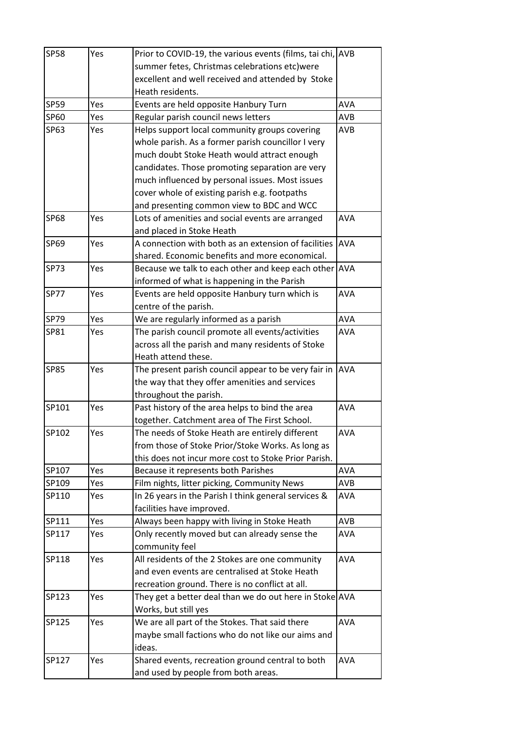| <b>SP58</b> | Yes | Prior to COVID-19, the various events (films, tai chi, AVB |            |
|-------------|-----|------------------------------------------------------------|------------|
|             |     | summer fetes, Christmas celebrations etc)were              |            |
|             |     | excellent and well received and attended by Stoke          |            |
|             |     | Heath residents.                                           |            |
| SP59        | Yes | Events are held opposite Hanbury Turn                      | <b>AVA</b> |
| SP60        | Yes | Regular parish council news letters                        | AVB        |
| SP63        | Yes | Helps support local community groups covering              | AVB        |
|             |     | whole parish. As a former parish councillor I very         |            |
|             |     | much doubt Stoke Heath would attract enough                |            |
|             |     | candidates. Those promoting separation are very            |            |
|             |     | much influenced by personal issues. Most issues            |            |
|             |     | cover whole of existing parish e.g. footpaths              |            |
|             |     | and presenting common view to BDC and WCC                  |            |
| <b>SP68</b> | Yes | Lots of amenities and social events are arranged           | <b>AVA</b> |
|             |     | and placed in Stoke Heath                                  |            |
| SP69        | Yes | A connection with both as an extension of facilities       | <b>AVA</b> |
|             |     | shared. Economic benefits and more economical.             |            |
| <b>SP73</b> | Yes | Because we talk to each other and keep each other AVA      |            |
|             |     | informed of what is happening in the Parish                |            |
| <b>SP77</b> | Yes | Events are held opposite Hanbury turn which is             | <b>AVA</b> |
|             |     | centre of the parish.                                      |            |
| <b>SP79</b> | Yes | We are regularly informed as a parish                      | <b>AVA</b> |
| SP81        | Yes | The parish council promote all events/activities           | <b>AVA</b> |
|             |     | across all the parish and many residents of Stoke          |            |
|             |     | Heath attend these.                                        |            |
| <b>SP85</b> | Yes | The present parish council appear to be very fair in       | <b>AVA</b> |
|             |     | the way that they offer amenities and services             |            |
|             |     | throughout the parish.                                     |            |
| SP101       | Yes | Past history of the area helps to bind the area            | <b>AVA</b> |
|             |     | together. Catchment area of The First School.              |            |
| SP102       | Yes | The needs of Stoke Heath are entirely different            | AVA        |
|             |     | from those of Stoke Prior/Stoke Works. As long as          |            |
|             |     | this does not incur more cost to Stoke Prior Parish.       |            |
| SP107       | Yes | Because it represents both Parishes                        | AVA        |
| SP109       | Yes | Film nights, litter picking, Community News                | <b>AVB</b> |
| SP110       | Yes | In 26 years in the Parish I think general services &       | AVA        |
|             |     | facilities have improved.                                  |            |
| SP111       | Yes | Always been happy with living in Stoke Heath               | AVB        |
| SP117       | Yes | Only recently moved but can already sense the              | <b>AVA</b> |
|             |     | community feel                                             |            |
| SP118       | Yes | All residents of the 2 Stokes are one community            | <b>AVA</b> |
|             |     | and even events are centralised at Stoke Heath             |            |
|             |     | recreation ground. There is no conflict at all.            |            |
| SP123       | Yes | They get a better deal than we do out here in Stoke AVA    |            |
|             |     | Works, but still yes                                       |            |
| SP125       | Yes | We are all part of the Stokes. That said there             | <b>AVA</b> |
|             |     | maybe small factions who do not like our aims and          |            |
|             |     | ideas.                                                     |            |
| SP127       | Yes | Shared events, recreation ground central to both           | <b>AVA</b> |
|             |     | and used by people from both areas.                        |            |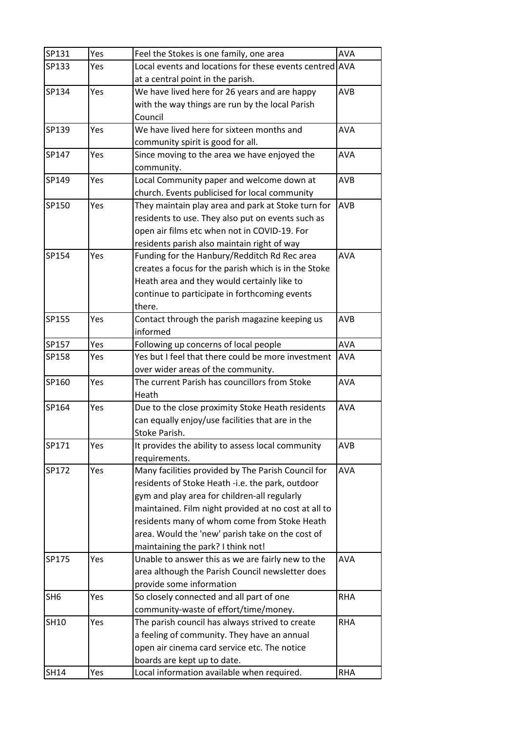| SP131           | Yes | Feel the Stokes is one family, one area                 | <b>AVA</b> |
|-----------------|-----|---------------------------------------------------------|------------|
| SP133           | Yes | Local events and locations for these events centred AVA |            |
|                 |     | at a central point in the parish.                       |            |
| SP134           | Yes | We have lived here for 26 years and are happy           | <b>AVB</b> |
|                 |     | with the way things are run by the local Parish         |            |
|                 |     | Council                                                 |            |
| SP139           | Yes | We have lived here for sixteen months and               | AVA        |
|                 |     | community spirit is good for all.                       |            |
| SP147           | Yes | Since moving to the area we have enjoyed the            | <b>AVA</b> |
|                 |     | community.                                              |            |
| SP149           | Yes | Local Community paper and welcome down at               | AVB        |
|                 |     | church. Events publicised for local community           |            |
| SP150           | Yes | They maintain play area and park at Stoke turn for      | <b>AVB</b> |
|                 |     | residents to use. They also put on events such as       |            |
|                 |     | open air films etc when not in COVID-19. For            |            |
|                 |     | residents parish also maintain right of way             |            |
| SP154           | Yes | Funding for the Hanbury/Redditch Rd Rec area            | <b>AVA</b> |
|                 |     | creates a focus for the parish which is in the Stoke    |            |
|                 |     | Heath area and they would certainly like to             |            |
|                 |     | continue to participate in forthcoming events           |            |
|                 |     | there.                                                  |            |
| SP155           | Yes | Contact through the parish magazine keeping us          | <b>AVB</b> |
|                 |     | informed                                                |            |
| SP157           | Yes | Following up concerns of local people                   | <b>AVA</b> |
| SP158           | Yes | Yes but I feel that there could be more investment      | <b>AVA</b> |
|                 |     | over wider areas of the community.                      |            |
| SP160           | Yes | The current Parish has councillors from Stoke           | <b>AVA</b> |
|                 |     | Heath                                                   |            |
| SP164           | Yes | Due to the close proximity Stoke Heath residents        | <b>AVA</b> |
|                 |     | can equally enjoy/use facilities that are in the        |            |
|                 |     | Stoke Parish.                                           |            |
| SP171           | Yes | It provides the ability to assess local community       | <b>AVB</b> |
|                 |     | requirements.                                           |            |
| SP172           | Yes | Many facilities provided by The Parish Council for      | <b>AVA</b> |
|                 |     | residents of Stoke Heath -i.e. the park, outdoor        |            |
|                 |     | gym and play area for children-all regularly            |            |
|                 |     | maintained. Film night provided at no cost at all to    |            |
|                 |     | residents many of whom come from Stoke Heath            |            |
|                 |     | area. Would the 'new' parish take on the cost of        |            |
|                 |     | maintaining the park? I think not!                      |            |
| SP175           | Yes | Unable to answer this as we are fairly new to the       | AVA        |
|                 |     | area although the Parish Council newsletter does        |            |
|                 |     | provide some information                                |            |
| SH <sub>6</sub> | Yes | So closely connected and all part of one                | <b>RHA</b> |
|                 |     | community-waste of effort/time/money.                   |            |
| <b>SH10</b>     | Yes | The parish council has always strived to create         | <b>RHA</b> |
|                 |     | a feeling of community. They have an annual             |            |
|                 |     | open air cinema card service etc. The notice            |            |
|                 |     | boards are kept up to date.                             |            |
| <b>SH14</b>     | Yes | Local information available when required.              | <b>RHA</b> |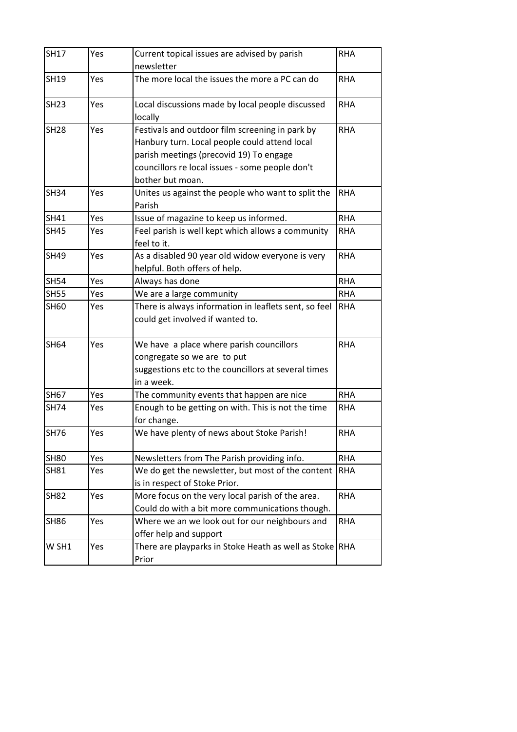| <b>SH17</b> | Yes | Current topical issues are advised by parish          | <b>RHA</b> |
|-------------|-----|-------------------------------------------------------|------------|
|             |     | newsletter                                            |            |
| <b>SH19</b> | Yes | The more local the issues the more a PC can do        | <b>RHA</b> |
| <b>SH23</b> | Yes | Local discussions made by local people discussed      | <b>RHA</b> |
|             |     | locally                                               |            |
| <b>SH28</b> | Yes | Festivals and outdoor film screening in park by       | <b>RHA</b> |
|             |     | Hanbury turn. Local people could attend local         |            |
|             |     | parish meetings (precovid 19) To engage               |            |
|             |     | councillors re local issues - some people don't       |            |
|             |     | bother but moan.                                      |            |
| <b>SH34</b> | Yes | Unites us against the people who want to split the    | <b>RHA</b> |
|             |     | Parish                                                |            |
| <b>SH41</b> | Yes | Issue of magazine to keep us informed.                | <b>RHA</b> |
| <b>SH45</b> | Yes | Feel parish is well kept which allows a community     | <b>RHA</b> |
|             |     | feel to it.                                           |            |
| <b>SH49</b> | Yes | As a disabled 90 year old widow everyone is very      | <b>RHA</b> |
|             |     | helpful. Both offers of help.                         |            |
| <b>SH54</b> | Yes | Always has done                                       | <b>RHA</b> |
| <b>SH55</b> | Yes | We are a large community                              | <b>RHA</b> |
| <b>SH60</b> | Yes | There is always information in leaflets sent, so feel | <b>RHA</b> |
|             |     | could get involved if wanted to.                      |            |
| <b>SH64</b> | Yes | We have a place where parish councillors              | <b>RHA</b> |
|             |     | congregate so we are to put                           |            |
|             |     | suggestions etc to the councillors at several times   |            |
|             |     | in a week.                                            |            |
| <b>SH67</b> | Yes | The community events that happen are nice             | <b>RHA</b> |
| <b>SH74</b> | Yes | Enough to be getting on with. This is not the time    | <b>RHA</b> |
|             |     | for change.                                           |            |
| SH76        | Yes | We have plenty of news about Stoke Parish!            | <b>RHA</b> |
| <b>SH80</b> | Yes | Newsletters from The Parish providing info.           | <b>RHA</b> |
| <b>SH81</b> | Yes | We do get the newsletter, but most of the content     | <b>RHA</b> |
|             |     | is in respect of Stoke Prior.                         |            |
| <b>SH82</b> | Yes | More focus on the very local parish of the area.      | <b>RHA</b> |
|             |     | Could do with a bit more communications though.       |            |
| <b>SH86</b> | Yes | Where we an we look out for our neighbours and        | <b>RHA</b> |
|             |     | offer help and support                                |            |
| W SH1       | Yes | There are playparks in Stoke Heath as well as Stoke   | <b>RHA</b> |
|             |     | Prior                                                 |            |